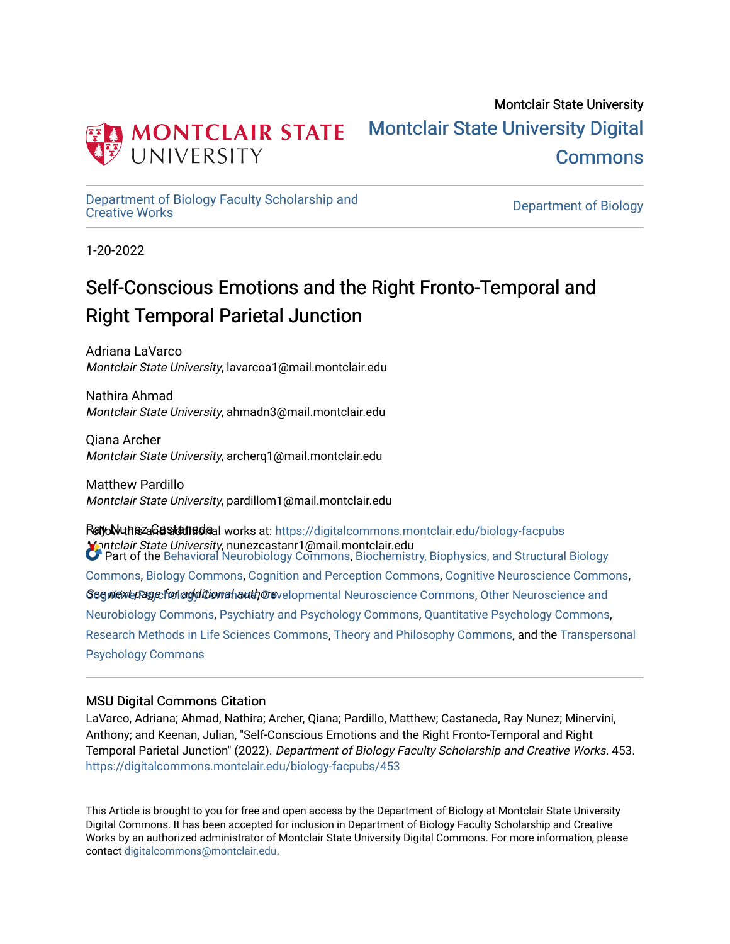

# Montclair State University [Montclair State University Digital](https://digitalcommons.montclair.edu/)  [Commons](https://digitalcommons.montclair.edu/)

[Department of Biology Faculty Scholarship and](https://digitalcommons.montclair.edu/biology-facpubs) 

Department of Biology

1-20-2022

# Self-Conscious Emotions and the Right Fronto-Temporal and Right Temporal Parietal Junction

Adriana LaVarco Montclair State University, lavarcoa1@mail.montclair.edu

Nathira Ahmad Montclair State University, ahmadn3@mail.montclair.edu

Qiana Archer Montclair State University, archerq1@mail.montclair.edu

Matthew Pardillo Montclair State University, pardillom1@mail.montclair.edu

RayoWunezaGastanedaal works at: https://digitalcommons.montclair.edu/biology-facpubs Montclair State University, nunezcastanr1@mail.montclair.edu Segmexepage for additional authors velopmental Neuroscience Commons, Other Neuroscience and Part of the [Behavioral Neurobiology Commons,](http://network.bepress.com/hgg/discipline/56?utm_source=digitalcommons.montclair.edu%2Fbiology-facpubs%2F453&utm_medium=PDF&utm_campaign=PDFCoverPages) [Biochemistry, Biophysics, and Structural Biology](http://network.bepress.com/hgg/discipline/1?utm_source=digitalcommons.montclair.edu%2Fbiology-facpubs%2F453&utm_medium=PDF&utm_campaign=PDFCoverPages)  [Commons](http://network.bepress.com/hgg/discipline/1?utm_source=digitalcommons.montclair.edu%2Fbiology-facpubs%2F453&utm_medium=PDF&utm_campaign=PDFCoverPages), [Biology Commons,](http://network.bepress.com/hgg/discipline/41?utm_source=digitalcommons.montclair.edu%2Fbiology-facpubs%2F453&utm_medium=PDF&utm_campaign=PDFCoverPages) [Cognition and Perception Commons](http://network.bepress.com/hgg/discipline/407?utm_source=digitalcommons.montclair.edu%2Fbiology-facpubs%2F453&utm_medium=PDF&utm_campaign=PDFCoverPages), [Cognitive Neuroscience Commons](http://network.bepress.com/hgg/discipline/57?utm_source=digitalcommons.montclair.edu%2Fbiology-facpubs%2F453&utm_medium=PDF&utm_campaign=PDFCoverPages), [Neurobiology Commons,](http://network.bepress.com/hgg/discipline/62?utm_source=digitalcommons.montclair.edu%2Fbiology-facpubs%2F453&utm_medium=PDF&utm_campaign=PDFCoverPages) [Psychiatry and Psychology Commons,](http://network.bepress.com/hgg/discipline/908?utm_source=digitalcommons.montclair.edu%2Fbiology-facpubs%2F453&utm_medium=PDF&utm_campaign=PDFCoverPages) [Quantitative Psychology Commons,](http://network.bepress.com/hgg/discipline/1041?utm_source=digitalcommons.montclair.edu%2Fbiology-facpubs%2F453&utm_medium=PDF&utm_campaign=PDFCoverPages) [Research Methods in Life Sciences Commons,](http://network.bepress.com/hgg/discipline/1385?utm_source=digitalcommons.montclair.edu%2Fbiology-facpubs%2F453&utm_medium=PDF&utm_campaign=PDFCoverPages) [Theory and Philosophy Commons](http://network.bepress.com/hgg/discipline/1238?utm_source=digitalcommons.montclair.edu%2Fbiology-facpubs%2F453&utm_medium=PDF&utm_campaign=PDFCoverPages), and the [Transpersonal](http://network.bepress.com/hgg/discipline/1388?utm_source=digitalcommons.montclair.edu%2Fbiology-facpubs%2F453&utm_medium=PDF&utm_campaign=PDFCoverPages)  [Psychology Commons](http://network.bepress.com/hgg/discipline/1388?utm_source=digitalcommons.montclair.edu%2Fbiology-facpubs%2F453&utm_medium=PDF&utm_campaign=PDFCoverPages) 

# MSU Digital Commons Citation

LaVarco, Adriana; Ahmad, Nathira; Archer, Qiana; Pardillo, Matthew; Castaneda, Ray Nunez; Minervini, Anthony; and Keenan, Julian, "Self-Conscious Emotions and the Right Fronto-Temporal and Right Temporal Parietal Junction" (2022). Department of Biology Faculty Scholarship and Creative Works. 453. [https://digitalcommons.montclair.edu/biology-facpubs/453](https://digitalcommons.montclair.edu/biology-facpubs/453?utm_source=digitalcommons.montclair.edu%2Fbiology-facpubs%2F453&utm_medium=PDF&utm_campaign=PDFCoverPages) 

This Article is brought to you for free and open access by the Department of Biology at Montclair State University Digital Commons. It has been accepted for inclusion in Department of Biology Faculty Scholarship and Creative Works by an authorized administrator of Montclair State University Digital Commons. For more information, please contact [digitalcommons@montclair.edu](mailto:digitalcommons@montclair.edu).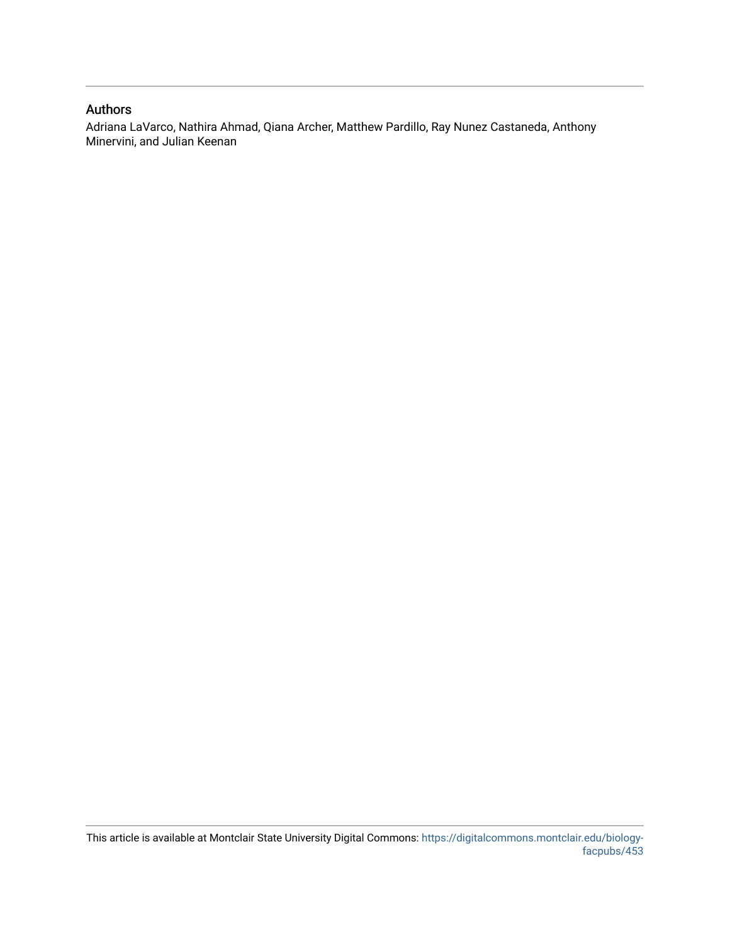# Authors

Adriana LaVarco, Nathira Ahmad, Qiana Archer, Matthew Pardillo, Ray Nunez Castaneda, Anthony Minervini, and Julian Keenan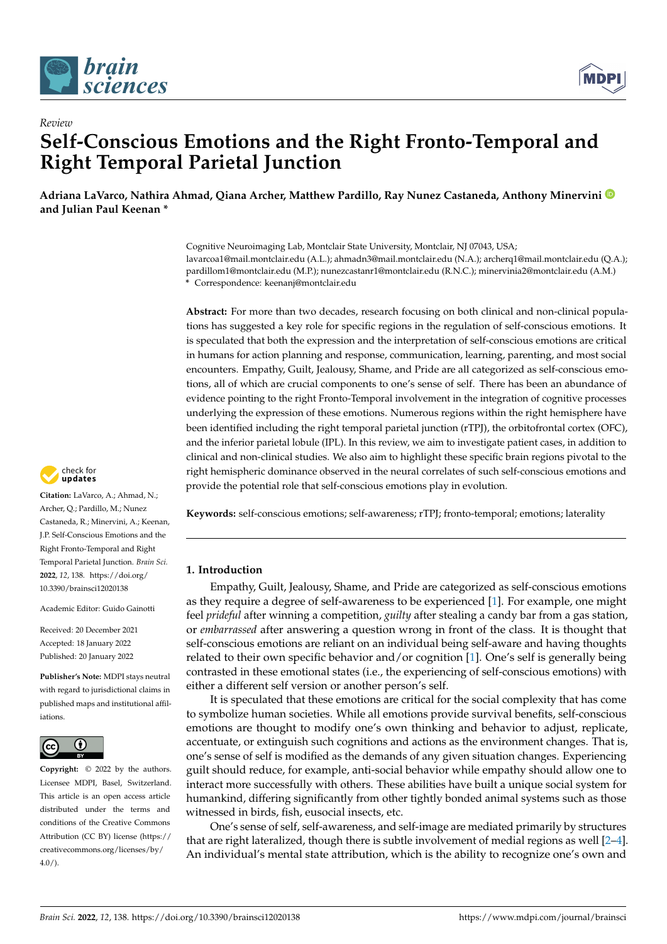

*Review*



# **Self-Conscious Emotions and the Right Fronto-Temporal and Right Temporal Parietal Junction**

**Adriana LaVarco, Nathira Ahmad, Qiana Archer, Matthew Pardillo, Ray Nunez Castaneda, Anthony Minervini and Julian Paul Keenan \***

> Cognitive Neuroimaging Lab, Montclair State University, Montclair, NJ 07043, USA; lavarcoa1@mail.montclair.edu (A.L.); ahmadn3@mail.montclair.edu (N.A.); archerq1@mail.montclair.edu (Q.A.); pardillom1@montclair.edu (M.P.); nunezcastanr1@montclair.edu (R.N.C.); minervinia2@montclair.edu (A.M.) **\*** Correspondence: keenanj@montclair.edu

> **Abstract:** For more than two decades, research focusing on both clinical and non-clinical populations has suggested a key role for specific regions in the regulation of self-conscious emotions. It is speculated that both the expression and the interpretation of self-conscious emotions are critical in humans for action planning and response, communication, learning, parenting, and most social encounters. Empathy, Guilt, Jealousy, Shame, and Pride are all categorized as self-conscious emotions, all of which are crucial components to one's sense of self. There has been an abundance of evidence pointing to the right Fronto-Temporal involvement in the integration of cognitive processes underlying the expression of these emotions. Numerous regions within the right hemisphere have been identified including the right temporal parietal junction (rTPJ), the orbitofrontal cortex (OFC), and the inferior parietal lobule (IPL). In this review, we aim to investigate patient cases, in addition to clinical and non-clinical studies. We also aim to highlight these specific brain regions pivotal to the right hemispheric dominance observed in the neural correlates of such self-conscious emotions and provide the potential role that self-conscious emotions play in evolution.

**Keywords:** self-conscious emotions; self-awareness; rTPJ; fronto-temporal; emotions; laterality

## **1. Introduction**

Empathy, Guilt, Jealousy, Shame, and Pride are categorized as self-conscious emotions as they require a degree of self-awareness to be experienced [\[1\]](#page-11-0). For example, one might feel *prideful* after winning a competition, *guilty* after stealing a candy bar from a gas station, or *embarrassed* after answering a question wrong in front of the class. It is thought that self-conscious emotions are reliant on an individual being self-aware and having thoughts related to their own specific behavior and/or cognition [\[1\]](#page-11-0). One's self is generally being contrasted in these emotional states (i.e., the experiencing of self-conscious emotions) with either a different self version or another person's self.

It is speculated that these emotions are critical for the social complexity that has come to symbolize human societies. While all emotions provide survival benefits, self-conscious emotions are thought to modify one's own thinking and behavior to adjust, replicate, accentuate, or extinguish such cognitions and actions as the environment changes. That is, one's sense of self is modified as the demands of any given situation changes. Experiencing guilt should reduce, for example, anti-social behavior while empathy should allow one to interact more successfully with others. These abilities have built a unique social system for humankind, differing significantly from other tightly bonded animal systems such as those witnessed in birds, fish, eusocial insects, etc.

One's sense of self, self-awareness, and self-image are mediated primarily by structures that are right lateralized, though there is subtle involvement of medial regions as well [\[2](#page-11-1)[–4\]](#page-11-2). An individual's mental state attribution, which is the ability to recognize one's own and



**Citation:** LaVarco, A.; Ahmad, N.; Archer, Q.; Pardillo, M.; Nunez Castaneda, R.; Minervini, A.; Keenan, J.P. Self-Conscious Emotions and the Right Fronto-Temporal and Right Temporal Parietal Junction. *Brain Sci.* **2022**, *12*, 138. [https://doi.org/](https://doi.org/10.3390/brainsci12020138) [10.3390/brainsci12020138](https://doi.org/10.3390/brainsci12020138)

Academic Editor: Guido Gainotti

Received: 20 December 2021 Accepted: 18 January 2022 Published: 20 January 2022

**Publisher's Note:** MDPI stays neutral with regard to jurisdictional claims in published maps and institutional affiliations.



**Copyright:** © 2022 by the authors. Licensee MDPI, Basel, Switzerland. This article is an open access article distributed under the terms and conditions of the Creative Commons Attribution (CC BY) license [\(https://](https://creativecommons.org/licenses/by/4.0/) [creativecommons.org/licenses/by/](https://creativecommons.org/licenses/by/4.0/)  $4.0/$ ).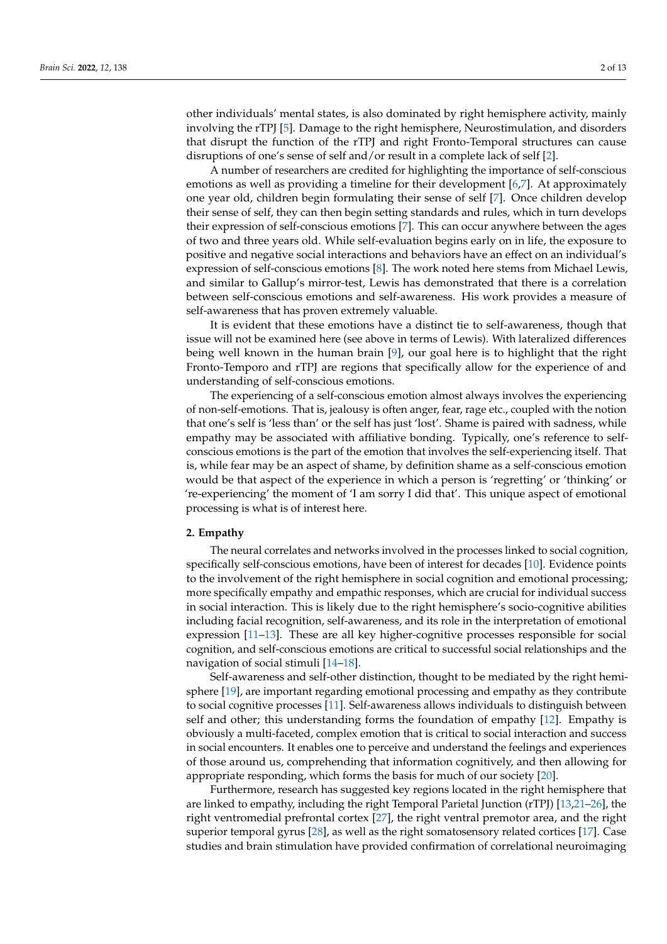other individuals' mental states, is also dominated by right hemisphere activity, mainly involving the rTPJ [\[5\]](#page-11-3). Damage to the right hemisphere, Neurostimulation, and disorders that disrupt the function of the rTPJ and right Fronto-Temporal structures can cause disruptions of one's sense of self and/or result in a complete lack of self [\[2\]](#page-11-1).

A number of researchers are credited for highlighting the importance of self-conscious emotions as well as providing a timeline for their development [\[6](#page-11-4)[,7\]](#page-11-5). At approximately one year old, children begin formulating their sense of self [\[7\]](#page-11-5). Once children develop their sense of self, they can then begin setting standards and rules, which in turn develops their expression of self-conscious emotions [\[7\]](#page-11-5). This can occur anywhere between the ages of two and three years old. While self-evaluation begins early on in life, the exposure to positive and negative social interactions and behaviors have an effect on an individual's expression of self-conscious emotions [\[8\]](#page-11-6). The work noted here stems from Michael Lewis, and similar to Gallup's mirror-test, Lewis has demonstrated that there is a correlation between self-conscious emotions and self-awareness. His work provides a measure of self-awareness that has proven extremely valuable.

It is evident that these emotions have a distinct tie to self-awareness, though that issue will not be examined here (see above in terms of Lewis). With lateralized differences being well known in the human brain  $[9]$ , our goal here is to highlight that the right Fronto-Temporo and rTPJ are regions that specifically allow for the experience of and understanding of self-conscious emotions.

The experiencing of a self-conscious emotion almost always involves the experiencing of non-self-emotions. That is, jealousy is often anger, fear, rage etc., coupled with the notion that one's self is 'less than' or the self has just 'lost'. Shame is paired with sadness, while empathy may be associated with affiliative bonding. Typically, one's reference to selfconscious emotions is the part of the emotion that involves the self-experiencing itself. That is, while fear may be an aspect of shame, by definition shame as a self-conscious emotion would be that aspect of the experience in which a person is 'regretting' or 'thinking' or 're-experiencing' the moment of 'I am sorry I did that'. This unique aspect of emotional processing is what is of interest here.

### **2. Empathy**

The neural correlates and networks involved in the processes linked to social cognition, specifically self-conscious emotions, have been of interest for decades [\[10\]](#page-11-8). Evidence points to the involvement of the right hemisphere in social cognition and emotional processing; more specifically empathy and empathic responses, which are crucial for individual success in social interaction. This is likely due to the right hemisphere's socio-cognitive abilities including facial recognition, self-awareness, and its role in the interpretation of emotional expression [\[11](#page-11-9)[–13\]](#page-11-10). These are all key higher-cognitive processes responsible for social cognition, and self-conscious emotions are critical to successful social relationships and the navigation of social stimuli [\[14](#page-11-11)[–18\]](#page-11-12).

Self-awareness and self-other distinction, thought to be mediated by the right hemisphere [\[19\]](#page-11-13), are important regarding emotional processing and empathy as they contribute to social cognitive processes [\[11\]](#page-11-9). Self-awareness allows individuals to distinguish between self and other; this understanding forms the foundation of empathy [\[12\]](#page-11-14). Empathy is obviously a multi-faceted, complex emotion that is critical to social interaction and success in social encounters. It enables one to perceive and understand the feelings and experiences of those around us, comprehending that information cognitively, and then allowing for appropriate responding, which forms the basis for much of our society [\[20\]](#page-11-15).

Furthermore, research has suggested key regions located in the right hemisphere that are linked to empathy, including the right Temporal Parietal Junction (rTPJ) [\[13,](#page-11-10)[21](#page-11-16)[–26\]](#page-11-17), the right ventromedial prefrontal cortex [\[27\]](#page-11-18), the right ventral premotor area, and the right superior temporal gyrus [\[28\]](#page-12-0), as well as the right somatosensory related cortices [\[17\]](#page-11-19). Case studies and brain stimulation have provided confirmation of correlational neuroimaging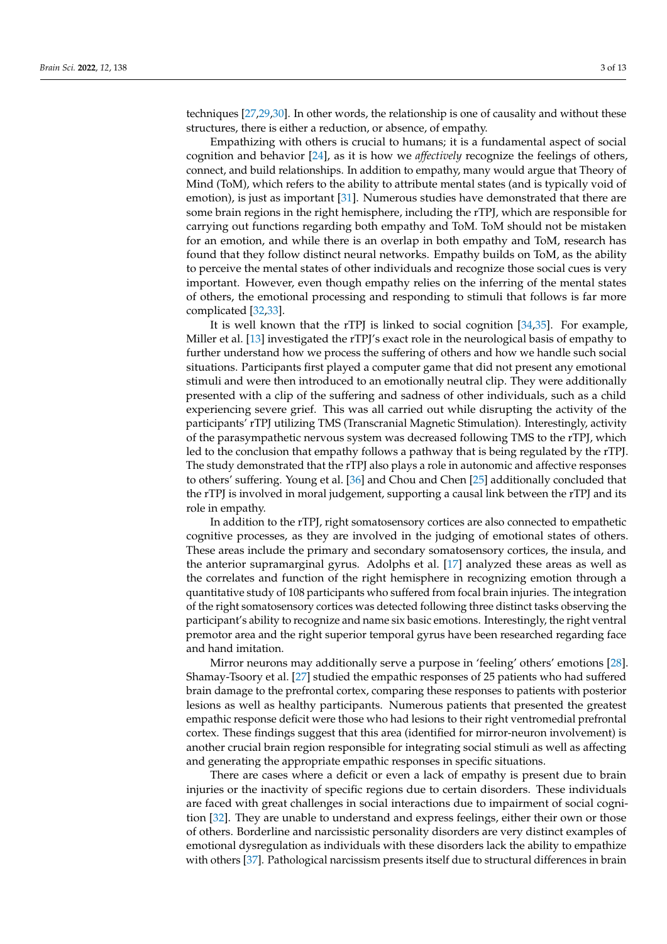techniques [\[27,](#page-11-18)[29,](#page-12-1)[30\]](#page-12-2). In other words, the relationship is one of causality and without these structures, there is either a reduction, or absence, of empathy.

Empathizing with others is crucial to humans; it is a fundamental aspect of social cognition and behavior [\[24\]](#page-11-20), as it is how we *affectively* recognize the feelings of others, connect, and build relationships. In addition to empathy, many would argue that Theory of Mind (ToM), which refers to the ability to attribute mental states (and is typically void of emotion), is just as important [\[31\]](#page-12-3). Numerous studies have demonstrated that there are some brain regions in the right hemisphere, including the rTPJ, which are responsible for carrying out functions regarding both empathy and ToM. ToM should not be mistaken for an emotion, and while there is an overlap in both empathy and ToM, research has found that they follow distinct neural networks. Empathy builds on ToM, as the ability to perceive the mental states of other individuals and recognize those social cues is very important. However, even though empathy relies on the inferring of the mental states of others, the emotional processing and responding to stimuli that follows is far more complicated [\[32,](#page-12-4)[33\]](#page-12-5).

It is well known that the rTPJ is linked to social cognition [\[34](#page-12-6)[,35\]](#page-12-7). For example, Miller et al. [\[13\]](#page-11-10) investigated the rTPJ's exact role in the neurological basis of empathy to further understand how we process the suffering of others and how we handle such social situations. Participants first played a computer game that did not present any emotional stimuli and were then introduced to an emotionally neutral clip. They were additionally presented with a clip of the suffering and sadness of other individuals, such as a child experiencing severe grief. This was all carried out while disrupting the activity of the participants' rTPJ utilizing TMS (Transcranial Magnetic Stimulation). Interestingly, activity of the parasympathetic nervous system was decreased following TMS to the rTPJ, which led to the conclusion that empathy follows a pathway that is being regulated by the rTPJ. The study demonstrated that the rTPJ also plays a role in autonomic and affective responses to others' suffering. Young et al. [\[36\]](#page-12-8) and Chou and Chen [\[25\]](#page-11-21) additionally concluded that the rTPJ is involved in moral judgement, supporting a causal link between the rTPJ and its role in empathy.

In addition to the rTPJ, right somatosensory cortices are also connected to empathetic cognitive processes, as they are involved in the judging of emotional states of others. These areas include the primary and secondary somatosensory cortices, the insula, and the anterior supramarginal gyrus. Adolphs et al. [\[17\]](#page-11-19) analyzed these areas as well as the correlates and function of the right hemisphere in recognizing emotion through a quantitative study of 108 participants who suffered from focal brain injuries. The integration of the right somatosensory cortices was detected following three distinct tasks observing the participant's ability to recognize and name six basic emotions. Interestingly, the right ventral premotor area and the right superior temporal gyrus have been researched regarding face and hand imitation.

Mirror neurons may additionally serve a purpose in 'feeling' others' emotions [\[28\]](#page-12-0). Shamay-Tsoory et al. [\[27\]](#page-11-18) studied the empathic responses of 25 patients who had suffered brain damage to the prefrontal cortex, comparing these responses to patients with posterior lesions as well as healthy participants. Numerous patients that presented the greatest empathic response deficit were those who had lesions to their right ventromedial prefrontal cortex. These findings suggest that this area (identified for mirror-neuron involvement) is another crucial brain region responsible for integrating social stimuli as well as affecting and generating the appropriate empathic responses in specific situations.

There are cases where a deficit or even a lack of empathy is present due to brain injuries or the inactivity of specific regions due to certain disorders. These individuals are faced with great challenges in social interactions due to impairment of social cognition [\[32\]](#page-12-4). They are unable to understand and express feelings, either their own or those of others. Borderline and narcissistic personality disorders are very distinct examples of emotional dysregulation as individuals with these disorders lack the ability to empathize with others [\[37\]](#page-12-9). Pathological narcissism presents itself due to structural differences in brain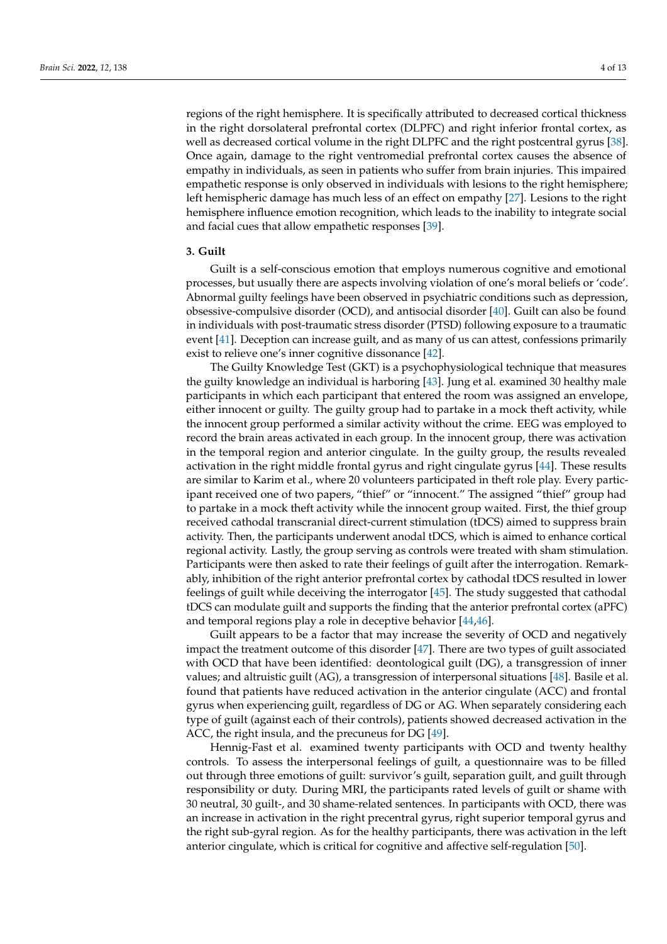regions of the right hemisphere. It is specifically attributed to decreased cortical thickness in the right dorsolateral prefrontal cortex (DLPFC) and right inferior frontal cortex, as well as decreased cortical volume in the right DLPFC and the right postcentral gyrus [\[38\]](#page-12-10). Once again, damage to the right ventromedial prefrontal cortex causes the absence of empathy in individuals, as seen in patients who suffer from brain injuries. This impaired empathetic response is only observed in individuals with lesions to the right hemisphere; left hemispheric damage has much less of an effect on empathy [\[27\]](#page-11-18). Lesions to the right hemisphere influence emotion recognition, which leads to the inability to integrate social and facial cues that allow empathetic responses [\[39\]](#page-12-11).

## **3. Guilt**

Guilt is a self-conscious emotion that employs numerous cognitive and emotional processes, but usually there are aspects involving violation of one's moral beliefs or 'code'. Abnormal guilty feelings have been observed in psychiatric conditions such as depression, obsessive-compulsive disorder (OCD), and antisocial disorder [\[40\]](#page-12-12). Guilt can also be found in individuals with post-traumatic stress disorder (PTSD) following exposure to a traumatic event [\[41\]](#page-12-13). Deception can increase guilt, and as many of us can attest, confessions primarily exist to relieve one's inner cognitive dissonance [\[42\]](#page-12-14).

The Guilty Knowledge Test (GKT) is a psychophysiological technique that measures the guilty knowledge an individual is harboring [\[43\]](#page-12-15). Jung et al. examined 30 healthy male participants in which each participant that entered the room was assigned an envelope, either innocent or guilty. The guilty group had to partake in a mock theft activity, while the innocent group performed a similar activity without the crime. EEG was employed to record the brain areas activated in each group. In the innocent group, there was activation in the temporal region and anterior cingulate. In the guilty group, the results revealed activation in the right middle frontal gyrus and right cingulate gyrus [\[44\]](#page-12-16). These results are similar to Karim et al., where 20 volunteers participated in theft role play. Every participant received one of two papers, "thief" or "innocent." The assigned "thief" group had to partake in a mock theft activity while the innocent group waited. First, the thief group received cathodal transcranial direct-current stimulation (tDCS) aimed to suppress brain activity. Then, the participants underwent anodal tDCS, which is aimed to enhance cortical regional activity. Lastly, the group serving as controls were treated with sham stimulation. Participants were then asked to rate their feelings of guilt after the interrogation. Remarkably, inhibition of the right anterior prefrontal cortex by cathodal tDCS resulted in lower feelings of guilt while deceiving the interrogator [\[45\]](#page-12-17). The study suggested that cathodal tDCS can modulate guilt and supports the finding that the anterior prefrontal cortex (aPFC) and temporal regions play a role in deceptive behavior [\[44](#page-12-16)[,46\]](#page-12-18).

Guilt appears to be a factor that may increase the severity of OCD and negatively impact the treatment outcome of this disorder [\[47\]](#page-12-19). There are two types of guilt associated with OCD that have been identified: deontological guilt (DG), a transgression of inner values; and altruistic guilt (AG), a transgression of interpersonal situations [\[48\]](#page-12-20). Basile et al. found that patients have reduced activation in the anterior cingulate (ACC) and frontal gyrus when experiencing guilt, regardless of DG or AG. When separately considering each type of guilt (against each of their controls), patients showed decreased activation in the ACC, the right insula, and the precuneus for DG [\[49\]](#page-12-21).

Hennig-Fast et al. examined twenty participants with OCD and twenty healthy controls. To assess the interpersonal feelings of guilt, a questionnaire was to be filled out through three emotions of guilt: survivor's guilt, separation guilt, and guilt through responsibility or duty. During MRI, the participants rated levels of guilt or shame with 30 neutral, 30 guilt-, and 30 shame-related sentences. In participants with OCD, there was an increase in activation in the right precentral gyrus, right superior temporal gyrus and the right sub-gyral region. As for the healthy participants, there was activation in the left anterior cingulate, which is critical for cognitive and affective self-regulation [\[50\]](#page-12-22).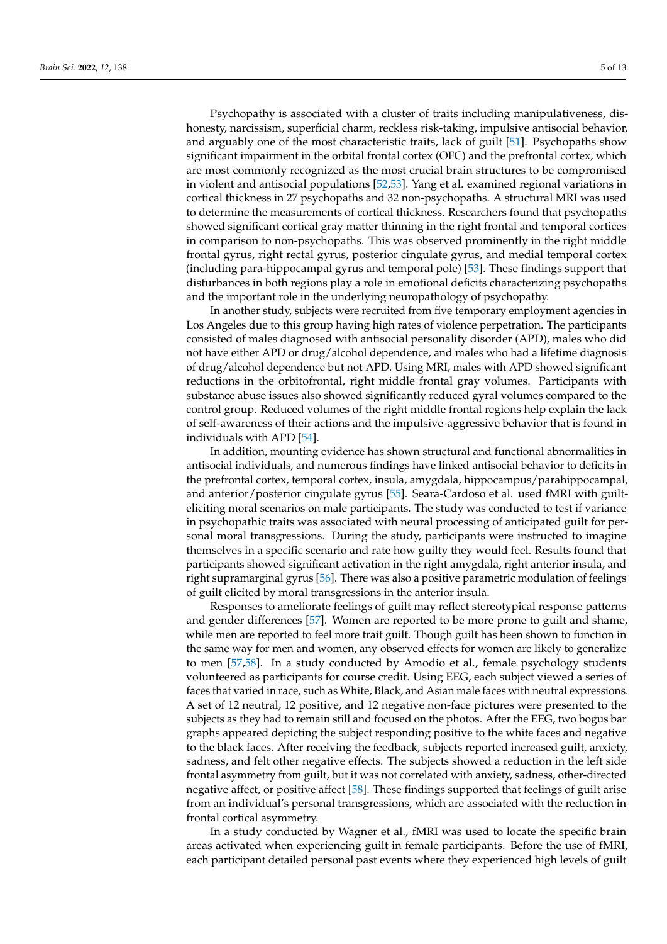Psychopathy is associated with a cluster of traits including manipulativeness, dishonesty, narcissism, superficial charm, reckless risk-taking, impulsive antisocial behavior, and arguably one of the most characteristic traits, lack of guilt [\[51\]](#page-12-23). Psychopaths show significant impairment in the orbital frontal cortex (OFC) and the prefrontal cortex, which are most commonly recognized as the most crucial brain structures to be compromised in violent and antisocial populations [\[52,](#page-12-24)[53\]](#page-12-25). Yang et al. examined regional variations in cortical thickness in 27 psychopaths and 32 non-psychopaths. A structural MRI was used to determine the measurements of cortical thickness. Researchers found that psychopaths showed significant cortical gray matter thinning in the right frontal and temporal cortices in comparison to non-psychopaths. This was observed prominently in the right middle frontal gyrus, right rectal gyrus, posterior cingulate gyrus, and medial temporal cortex (including para-hippocampal gyrus and temporal pole) [\[53\]](#page-12-25). These findings support that disturbances in both regions play a role in emotional deficits characterizing psychopaths and the important role in the underlying neuropathology of psychopathy.

In another study, subjects were recruited from five temporary employment agencies in Los Angeles due to this group having high rates of violence perpetration. The participants consisted of males diagnosed with antisocial personality disorder (APD), males who did not have either APD or drug/alcohol dependence, and males who had a lifetime diagnosis of drug/alcohol dependence but not APD. Using MRI, males with APD showed significant reductions in the orbitofrontal, right middle frontal gray volumes. Participants with substance abuse issues also showed significantly reduced gyral volumes compared to the control group. Reduced volumes of the right middle frontal regions help explain the lack of self-awareness of their actions and the impulsive-aggressive behavior that is found in individuals with APD [\[54\]](#page-12-26).

In addition, mounting evidence has shown structural and functional abnormalities in antisocial individuals, and numerous findings have linked antisocial behavior to deficits in the prefrontal cortex, temporal cortex, insula, amygdala, hippocampus/parahippocampal, and anterior/posterior cingulate gyrus [\[55\]](#page-12-27). Seara-Cardoso et al. used fMRI with guilteliciting moral scenarios on male participants. The study was conducted to test if variance in psychopathic traits was associated with neural processing of anticipated guilt for personal moral transgressions. During the study, participants were instructed to imagine themselves in a specific scenario and rate how guilty they would feel. Results found that participants showed significant activation in the right amygdala, right anterior insula, and right supramarginal gyrus [\[56\]](#page-13-0). There was also a positive parametric modulation of feelings of guilt elicited by moral transgressions in the anterior insula.

Responses to ameliorate feelings of guilt may reflect stereotypical response patterns and gender differences [\[57\]](#page-13-1). Women are reported to be more prone to guilt and shame, while men are reported to feel more trait guilt. Though guilt has been shown to function in the same way for men and women, any observed effects for women are likely to generalize to men [\[57](#page-13-1)[,58\]](#page-13-2). In a study conducted by Amodio et al., female psychology students volunteered as participants for course credit. Using EEG, each subject viewed a series of faces that varied in race, such as White, Black, and Asian male faces with neutral expressions. A set of 12 neutral, 12 positive, and 12 negative non-face pictures were presented to the subjects as they had to remain still and focused on the photos. After the EEG, two bogus bar graphs appeared depicting the subject responding positive to the white faces and negative to the black faces. After receiving the feedback, subjects reported increased guilt, anxiety, sadness, and felt other negative effects. The subjects showed a reduction in the left side frontal asymmetry from guilt, but it was not correlated with anxiety, sadness, other-directed negative affect, or positive affect [\[58\]](#page-13-2). These findings supported that feelings of guilt arise from an individual's personal transgressions, which are associated with the reduction in frontal cortical asymmetry.

In a study conducted by Wagner et al., fMRI was used to locate the specific brain areas activated when experiencing guilt in female participants. Before the use of fMRI, each participant detailed personal past events where they experienced high levels of guilt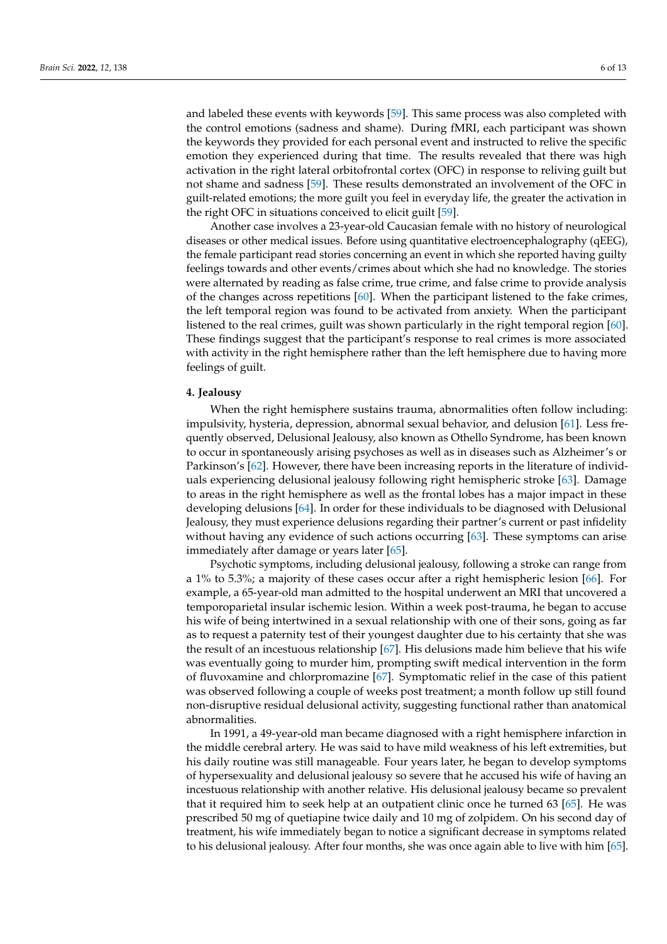and labeled these events with keywords [\[59\]](#page-13-3). This same process was also completed with the control emotions (sadness and shame). During fMRI, each participant was shown the keywords they provided for each personal event and instructed to relive the specific emotion they experienced during that time. The results revealed that there was high activation in the right lateral orbitofrontal cortex (OFC) in response to reliving guilt but not shame and sadness [\[59\]](#page-13-3). These results demonstrated an involvement of the OFC in guilt-related emotions; the more guilt you feel in everyday life, the greater the activation in the right OFC in situations conceived to elicit guilt [\[59\]](#page-13-3).

Another case involves a 23-year-old Caucasian female with no history of neurological diseases or other medical issues. Before using quantitative electroencephalography (qEEG), the female participant read stories concerning an event in which she reported having guilty feelings towards and other events/crimes about which she had no knowledge. The stories were alternated by reading as false crime, true crime, and false crime to provide analysis of the changes across repetitions [\[60\]](#page-13-4). When the participant listened to the fake crimes, the left temporal region was found to be activated from anxiety. When the participant listened to the real crimes, guilt was shown particularly in the right temporal region [\[60\]](#page-13-4). These findings suggest that the participant's response to real crimes is more associated with activity in the right hemisphere rather than the left hemisphere due to having more feelings of guilt.

### **4. Jealousy**

When the right hemisphere sustains trauma, abnormalities often follow including: impulsivity, hysteria, depression, abnormal sexual behavior, and delusion [\[61\]](#page-13-5). Less frequently observed, Delusional Jealousy, also known as Othello Syndrome, has been known to occur in spontaneously arising psychoses as well as in diseases such as Alzheimer's or Parkinson's [\[62\]](#page-13-6). However, there have been increasing reports in the literature of individuals experiencing delusional jealousy following right hemispheric stroke [\[63\]](#page-13-7). Damage to areas in the right hemisphere as well as the frontal lobes has a major impact in these developing delusions [\[64\]](#page-13-8). In order for these individuals to be diagnosed with Delusional Jealousy, they must experience delusions regarding their partner's current or past infidelity without having any evidence of such actions occurring [\[63\]](#page-13-7). These symptoms can arise immediately after damage or years later [\[65\]](#page-13-9).

Psychotic symptoms, including delusional jealousy, following a stroke can range from a 1% to 5.3%; a majority of these cases occur after a right hemispheric lesion [\[66\]](#page-13-10). For example, a 65-year-old man admitted to the hospital underwent an MRI that uncovered a temporoparietal insular ischemic lesion. Within a week post-trauma, he began to accuse his wife of being intertwined in a sexual relationship with one of their sons, going as far as to request a paternity test of their youngest daughter due to his certainty that she was the result of an incestuous relationship [\[67\]](#page-13-11). His delusions made him believe that his wife was eventually going to murder him, prompting swift medical intervention in the form of fluvoxamine and chlorpromazine [\[67\]](#page-13-11). Symptomatic relief in the case of this patient was observed following a couple of weeks post treatment; a month follow up still found non-disruptive residual delusional activity, suggesting functional rather than anatomical abnormalities.

In 1991, a 49-year-old man became diagnosed with a right hemisphere infarction in the middle cerebral artery. He was said to have mild weakness of his left extremities, but his daily routine was still manageable. Four years later, he began to develop symptoms of hypersexuality and delusional jealousy so severe that he accused his wife of having an incestuous relationship with another relative. His delusional jealousy became so prevalent that it required him to seek help at an outpatient clinic once he turned 63 [\[65\]](#page-13-9). He was prescribed 50 mg of quetiapine twice daily and 10 mg of zolpidem. On his second day of treatment, his wife immediately began to notice a significant decrease in symptoms related to his delusional jealousy. After four months, she was once again able to live with him [\[65\]](#page-13-9).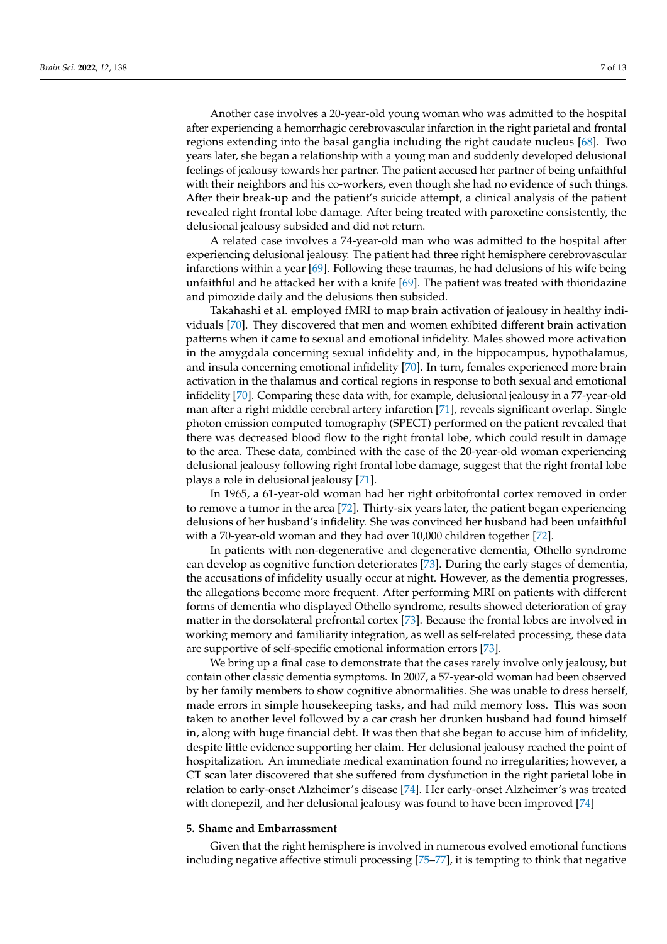Another case involves a 20-year-old young woman who was admitted to the hospital after experiencing a hemorrhagic cerebrovascular infarction in the right parietal and frontal regions extending into the basal ganglia including the right caudate nucleus [\[68\]](#page-13-12). Two years later, she began a relationship with a young man and suddenly developed delusional feelings of jealousy towards her partner. The patient accused her partner of being unfaithful with their neighbors and his co-workers, even though she had no evidence of such things. After their break-up and the patient's suicide attempt, a clinical analysis of the patient revealed right frontal lobe damage. After being treated with paroxetine consistently, the delusional jealousy subsided and did not return.

A related case involves a 74-year-old man who was admitted to the hospital after experiencing delusional jealousy. The patient had three right hemisphere cerebrovascular infarctions within a year [\[69\]](#page-13-13). Following these traumas, he had delusions of his wife being unfaithful and he attacked her with a knife [\[69\]](#page-13-13). The patient was treated with thioridazine and pimozide daily and the delusions then subsided.

Takahashi et al. employed fMRI to map brain activation of jealousy in healthy individuals [\[70\]](#page-13-14). They discovered that men and women exhibited different brain activation patterns when it came to sexual and emotional infidelity. Males showed more activation in the amygdala concerning sexual infidelity and, in the hippocampus, hypothalamus, and insula concerning emotional infidelity [\[70\]](#page-13-14). In turn, females experienced more brain activation in the thalamus and cortical regions in response to both sexual and emotional infidelity [\[70\]](#page-13-14). Comparing these data with, for example, delusional jealousy in a 77-year-old man after a right middle cerebral artery infarction [\[71\]](#page-13-15), reveals significant overlap. Single photon emission computed tomography (SPECT) performed on the patient revealed that there was decreased blood flow to the right frontal lobe, which could result in damage to the area. These data, combined with the case of the 20-year-old woman experiencing delusional jealousy following right frontal lobe damage, suggest that the right frontal lobe plays a role in delusional jealousy [\[71\]](#page-13-15).

In 1965, a 61-year-old woman had her right orbitofrontal cortex removed in order to remove a tumor in the area [\[72\]](#page-13-16). Thirty-six years later, the patient began experiencing delusions of her husband's infidelity. She was convinced her husband had been unfaithful with a 70-year-old woman and they had over 10,000 children together [\[72\]](#page-13-16).

In patients with non-degenerative and degenerative dementia, Othello syndrome can develop as cognitive function deteriorates [\[73\]](#page-13-17). During the early stages of dementia, the accusations of infidelity usually occur at night. However, as the dementia progresses, the allegations become more frequent. After performing MRI on patients with different forms of dementia who displayed Othello syndrome, results showed deterioration of gray matter in the dorsolateral prefrontal cortex [\[73\]](#page-13-17). Because the frontal lobes are involved in working memory and familiarity integration, as well as self-related processing, these data are supportive of self-specific emotional information errors [\[73\]](#page-13-17).

We bring up a final case to demonstrate that the cases rarely involve only jealousy, but contain other classic dementia symptoms. In 2007, a 57-year-old woman had been observed by her family members to show cognitive abnormalities. She was unable to dress herself, made errors in simple housekeeping tasks, and had mild memory loss. This was soon taken to another level followed by a car crash her drunken husband had found himself in, along with huge financial debt. It was then that she began to accuse him of infidelity, despite little evidence supporting her claim. Her delusional jealousy reached the point of hospitalization. An immediate medical examination found no irregularities; however, a CT scan later discovered that she suffered from dysfunction in the right parietal lobe in relation to early-onset Alzheimer's disease [\[74\]](#page-13-18). Her early-onset Alzheimer's was treated with donepezil, and her delusional jealousy was found to have been improved [\[74\]](#page-13-18)

#### **5. Shame and Embarrassment**

Given that the right hemisphere is involved in numerous evolved emotional functions including negative affective stimuli processing [\[75–](#page-13-19)[77\]](#page-13-20), it is tempting to think that negative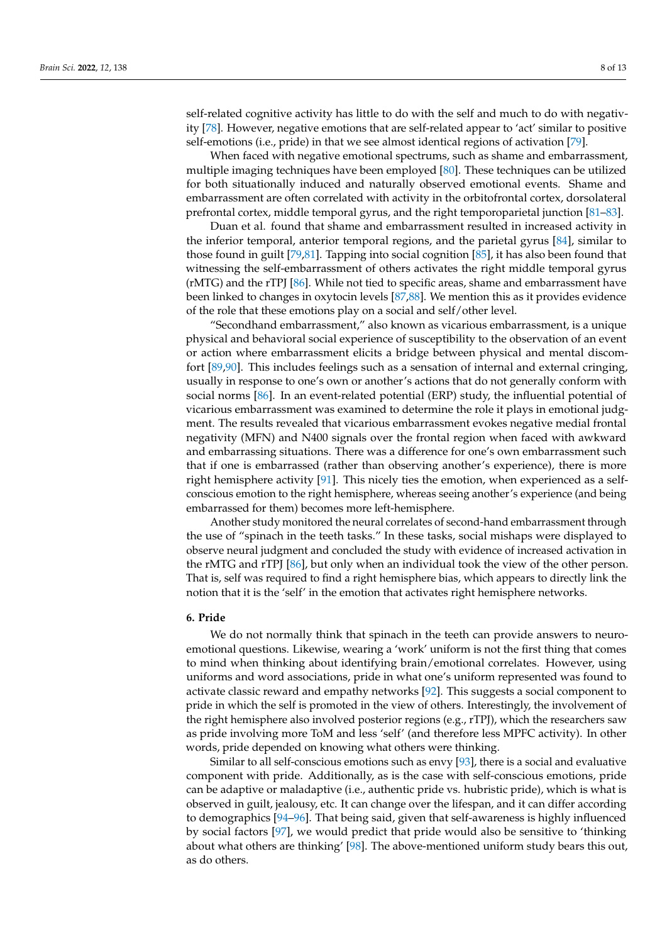self-related cognitive activity has little to do with the self and much to do with negativity [\[78\]](#page-13-21). However, negative emotions that are self-related appear to 'act' similar to positive self-emotions (i.e., pride) in that we see almost identical regions of activation [\[79\]](#page-13-22).

When faced with negative emotional spectrums, such as shame and embarrassment, multiple imaging techniques have been employed [\[80\]](#page-13-23). These techniques can be utilized for both situationally induced and naturally observed emotional events. Shame and embarrassment are often correlated with activity in the orbitofrontal cortex, dorsolateral prefrontal cortex, middle temporal gyrus, and the right temporoparietal junction [\[81](#page-13-24)[–83\]](#page-13-25).

Duan et al. found that shame and embarrassment resulted in increased activity in the inferior temporal, anterior temporal regions, and the parietal gyrus [\[84\]](#page-13-26), similar to those found in guilt [\[79](#page-13-22)[,81\]](#page-13-24). Tapping into social cognition [\[85\]](#page-13-27), it has also been found that witnessing the self-embarrassment of others activates the right middle temporal gyrus (rMTG) and the rTPJ [\[86\]](#page-14-0). While not tied to specific areas, shame and embarrassment have been linked to changes in oxytocin levels [\[87](#page-14-1)[,88\]](#page-14-2). We mention this as it provides evidence of the role that these emotions play on a social and self/other level.

"Secondhand embarrassment," also known as vicarious embarrassment, is a unique physical and behavioral social experience of susceptibility to the observation of an event or action where embarrassment elicits a bridge between physical and mental discomfort [\[89](#page-14-3)[,90\]](#page-14-4). This includes feelings such as a sensation of internal and external cringing, usually in response to one's own or another's actions that do not generally conform with social norms [\[86\]](#page-14-0). In an event-related potential (ERP) study, the influential potential of vicarious embarrassment was examined to determine the role it plays in emotional judgment. The results revealed that vicarious embarrassment evokes negative medial frontal negativity (MFN) and N400 signals over the frontal region when faced with awkward and embarrassing situations. There was a difference for one's own embarrassment such that if one is embarrassed (rather than observing another's experience), there is more right hemisphere activity [\[91\]](#page-14-5). This nicely ties the emotion, when experienced as a selfconscious emotion to the right hemisphere, whereas seeing another's experience (and being embarrassed for them) becomes more left-hemisphere.

Another study monitored the neural correlates of second-hand embarrassment through the use of "spinach in the teeth tasks." In these tasks, social mishaps were displayed to observe neural judgment and concluded the study with evidence of increased activation in the rMTG and rTPJ [\[86\]](#page-14-0), but only when an individual took the view of the other person. That is, self was required to find a right hemisphere bias, which appears to directly link the notion that it is the 'self' in the emotion that activates right hemisphere networks.

## **6. Pride**

We do not normally think that spinach in the teeth can provide answers to neuroemotional questions. Likewise, wearing a 'work' uniform is not the first thing that comes to mind when thinking about identifying brain/emotional correlates. However, using uniforms and word associations, pride in what one's uniform represented was found to activate classic reward and empathy networks [\[92\]](#page-14-6). This suggests a social component to pride in which the self is promoted in the view of others. Interestingly, the involvement of the right hemisphere also involved posterior regions (e.g., rTPJ), which the researchers saw as pride involving more ToM and less 'self' (and therefore less MPFC activity). In other words, pride depended on knowing what others were thinking.

Similar to all self-conscious emotions such as envy [\[93\]](#page-14-7), there is a social and evaluative component with pride. Additionally, as is the case with self-conscious emotions, pride can be adaptive or maladaptive (i.e., authentic pride vs. hubristic pride), which is what is observed in guilt, jealousy, etc. It can change over the lifespan, and it can differ according to demographics [\[94](#page-14-8)[–96\]](#page-14-9). That being said, given that self-awareness is highly influenced by social factors [\[97\]](#page-14-10), we would predict that pride would also be sensitive to 'thinking about what others are thinking' [\[98\]](#page-14-11). The above-mentioned uniform study bears this out, as do others.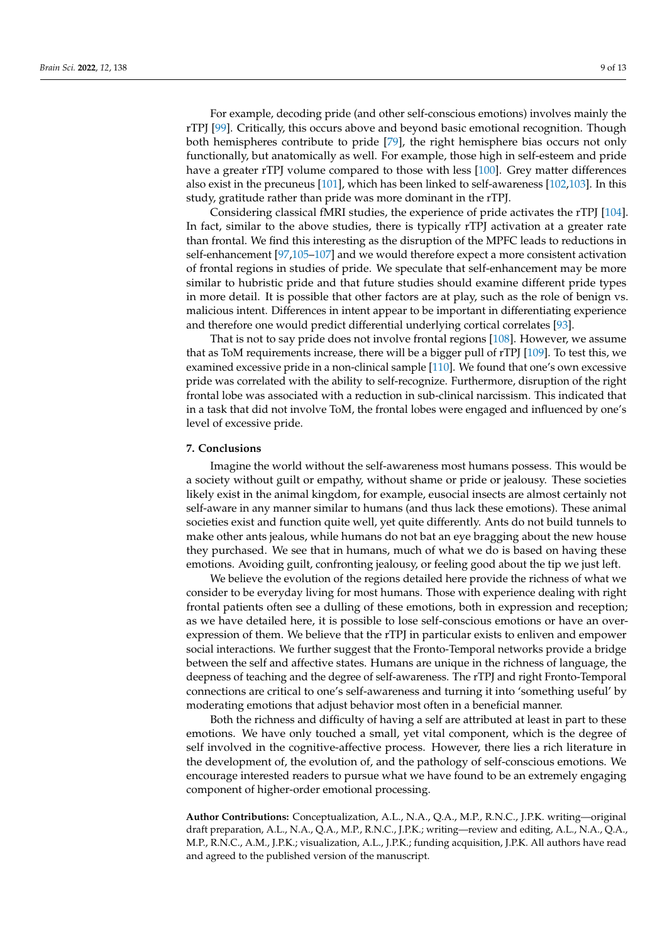For example, decoding pride (and other self-conscious emotions) involves mainly the rTPJ [\[99\]](#page-14-12). Critically, this occurs above and beyond basic emotional recognition. Though both hemispheres contribute to pride [\[79\]](#page-13-22), the right hemisphere bias occurs not only functionally, but anatomically as well. For example, those high in self-esteem and pride have a greater rTPJ volume compared to those with less [\[100\]](#page-14-13). Grey matter differences also exist in the precuneus [\[101\]](#page-14-14), which has been linked to self-awareness [\[102,](#page-14-15)[103\]](#page-14-16). In this study, gratitude rather than pride was more dominant in the rTPJ.

Considering classical fMRI studies, the experience of pride activates the rTPJ [\[104\]](#page-14-17). In fact, similar to the above studies, there is typically rTPJ activation at a greater rate than frontal. We find this interesting as the disruption of the MPFC leads to reductions in self-enhancement [\[97](#page-14-10)[,105–](#page-14-18)[107\]](#page-14-19) and we would therefore expect a more consistent activation of frontal regions in studies of pride. We speculate that self-enhancement may be more similar to hubristic pride and that future studies should examine different pride types in more detail. It is possible that other factors are at play, such as the role of benign vs. malicious intent. Differences in intent appear to be important in differentiating experience and therefore one would predict differential underlying cortical correlates [\[93\]](#page-14-7).

That is not to say pride does not involve frontal regions [\[108\]](#page-14-20). However, we assume that as ToM requirements increase, there will be a bigger pull of rTPJ [\[109\]](#page-14-21). To test this, we examined excessive pride in a non-clinical sample [\[110\]](#page-14-22). We found that one's own excessive pride was correlated with the ability to self-recognize. Furthermore, disruption of the right frontal lobe was associated with a reduction in sub-clinical narcissism. This indicated that in a task that did not involve ToM, the frontal lobes were engaged and influenced by one's level of excessive pride.

### **7. Conclusions**

Imagine the world without the self-awareness most humans possess. This would be a society without guilt or empathy, without shame or pride or jealousy. These societies likely exist in the animal kingdom, for example, eusocial insects are almost certainly not self-aware in any manner similar to humans (and thus lack these emotions). These animal societies exist and function quite well, yet quite differently. Ants do not build tunnels to make other ants jealous, while humans do not bat an eye bragging about the new house they purchased. We see that in humans, much of what we do is based on having these emotions. Avoiding guilt, confronting jealousy, or feeling good about the tip we just left.

We believe the evolution of the regions detailed here provide the richness of what we consider to be everyday living for most humans. Those with experience dealing with right frontal patients often see a dulling of these emotions, both in expression and reception; as we have detailed here, it is possible to lose self-conscious emotions or have an overexpression of them. We believe that the rTPJ in particular exists to enliven and empower social interactions. We further suggest that the Fronto-Temporal networks provide a bridge between the self and affective states. Humans are unique in the richness of language, the deepness of teaching and the degree of self-awareness. The rTPJ and right Fronto-Temporal connections are critical to one's self-awareness and turning it into 'something useful' by moderating emotions that adjust behavior most often in a beneficial manner.

Both the richness and difficulty of having a self are attributed at least in part to these emotions. We have only touched a small, yet vital component, which is the degree of self involved in the cognitive-affective process. However, there lies a rich literature in the development of, the evolution of, and the pathology of self-conscious emotions. We encourage interested readers to pursue what we have found to be an extremely engaging component of higher-order emotional processing.

**Author Contributions:** Conceptualization, A.L., N.A., Q.A., M.P., R.N.C., J.P.K. writing—original draft preparation, A.L., N.A., Q.A., M.P., R.N.C., J.P.K.; writing—review and editing, A.L., N.A., Q.A., M.P., R.N.C., A.M., J.P.K.; visualization, A.L., J.P.K.; funding acquisition, J.P.K. All authors have read and agreed to the published version of the manuscript.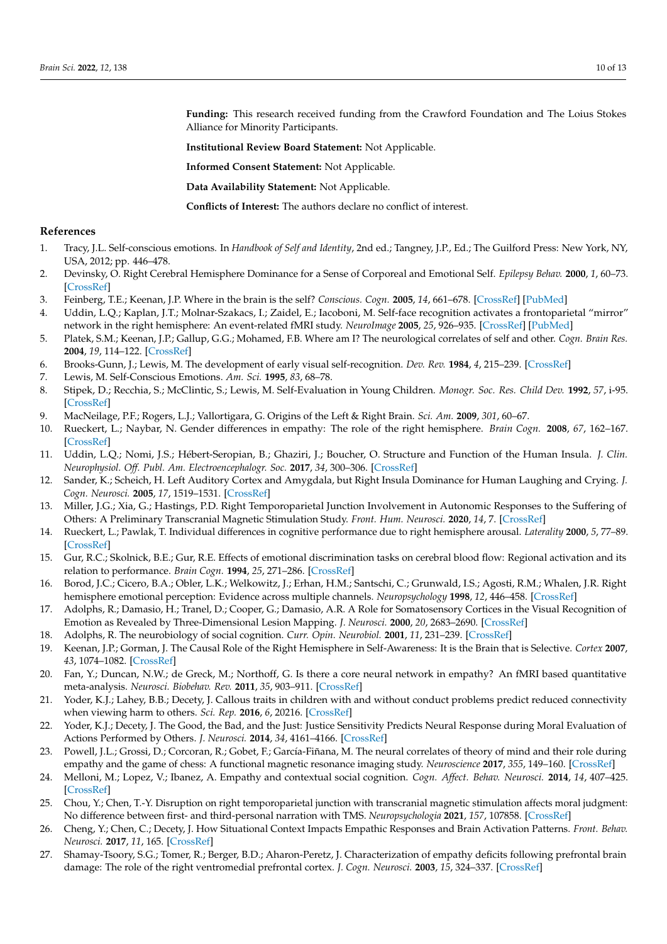**Funding:** This research received funding from the Crawford Foundation and The Loius Stokes Alliance for Minority Participants.

**Institutional Review Board Statement:** Not Applicable.

**Informed Consent Statement:** Not Applicable.

**Data Availability Statement:** Not Applicable.

**Conflicts of Interest:** The authors declare no conflict of interest.

#### **References**

- <span id="page-11-0"></span>1. Tracy, J.L. Self-conscious emotions. In *Handbook of Self and Identity*, 2nd ed.; Tangney, J.P., Ed.; The Guilford Press: New York, NY, USA, 2012; pp. 446–478.
- <span id="page-11-1"></span>2. Devinsky, O. Right Cerebral Hemisphere Dominance for a Sense of Corporeal and Emotional Self. *Epilepsy Behav.* **2000**, *1*, 60–73. [\[CrossRef\]](http://doi.org/10.1006/ebeh.2000.0025)
- 3. Feinberg, T.E.; Keenan, J.P. Where in the brain is the self? *Conscious. Cogn.* **2005**, *14*, 661–678. [\[CrossRef\]](http://doi.org/10.1016/j.concog.2005.01.002) [\[PubMed\]](http://www.ncbi.nlm.nih.gov/pubmed/16325140)
- <span id="page-11-2"></span>4. Uddin, L.Q.; Kaplan, J.T.; Molnar-Szakacs, I.; Zaidel, E.; Iacoboni, M. Self-face recognition activates a frontoparietal "mirror" network in the right hemisphere: An event-related fMRI study. *NeuroImage* **2005**, *25*, 926–935. [\[CrossRef\]](http://doi.org/10.1016/j.neuroimage.2004.12.018) [\[PubMed\]](http://www.ncbi.nlm.nih.gov/pubmed/15808992)
- <span id="page-11-3"></span>5. Platek, S.M.; Keenan, J.P.; Gallup, G.G.; Mohamed, F.B. Where am I? The neurological correlates of self and other. *Cogn. Brain Res.* **2004**, *19*, 114–122. [\[CrossRef\]](http://doi.org/10.1016/j.cogbrainres.2003.11.014)
- <span id="page-11-4"></span>6. Brooks-Gunn, J.; Lewis, M. The development of early visual self-recognition. *Dev. Rev.* **1984**, *4*, 215–239. [\[CrossRef\]](http://doi.org/10.1016/S0273-2297(84)80006-4)
- <span id="page-11-5"></span>7. Lewis, M. Self-Conscious Emotions. *Am. Sci.* **1995**, *83*, 68–78.
- <span id="page-11-6"></span>8. Stipek, D.; Recchia, S.; McClintic, S.; Lewis, M. Self-Evaluation in Young Children. *Monogr. Soc. Res. Child Dev.* **1992**, *57*, i-95. [\[CrossRef\]](http://doi.org/10.2307/1166190)
- <span id="page-11-7"></span>9. MacNeilage, P.F.; Rogers, L.J.; Vallortigara, G. Origins of the Left & Right Brain. *Sci. Am.* **2009**, *301*, 60–67.
- <span id="page-11-8"></span>10. Rueckert, L.; Naybar, N. Gender differences in empathy: The role of the right hemisphere. *Brain Cogn.* **2008**, *67*, 162–167. [\[CrossRef\]](http://doi.org/10.1016/j.bandc.2008.01.002)
- <span id="page-11-9"></span>11. Uddin, L.Q.; Nomi, J.S.; Hébert-Seropian, B.; Ghaziri, J.; Boucher, O. Structure and Function of the Human Insula. *J. Clin. Neurophysiol. Off. Publ. Am. Electroencephalogr. Soc.* **2017**, *34*, 300–306. [\[CrossRef\]](http://doi.org/10.1097/WNP.0000000000000377)
- <span id="page-11-14"></span>12. Sander, K.; Scheich, H. Left Auditory Cortex and Amygdala, but Right Insula Dominance for Human Laughing and Crying. *J. Cogn. Neurosci.* **2005**, *17*, 1519–1531. [\[CrossRef\]](http://doi.org/10.1162/089892905774597227)
- <span id="page-11-10"></span>13. Miller, J.G.; Xia, G.; Hastings, P.D. Right Temporoparietal Junction Involvement in Autonomic Responses to the Suffering of Others: A Preliminary Transcranial Magnetic Stimulation Study. *Front. Hum. Neurosci.* **2020**, *14*, 7. [\[CrossRef\]](http://doi.org/10.3389/fnhum.2020.00007)
- <span id="page-11-11"></span>14. Rueckert, L.; Pawlak, T. Individual differences in cognitive performance due to right hemisphere arousal. *Laterality* **2000**, *5*, 77–89. [\[CrossRef\]](http://doi.org/10.1080/713754354)
- 15. Gur, R.C.; Skolnick, B.E.; Gur, R.E. Effects of emotional discrimination tasks on cerebral blood flow: Regional activation and its relation to performance. *Brain Cogn.* **1994**, *25*, 271–286. [\[CrossRef\]](http://doi.org/10.1006/brcg.1994.1036)
- 16. Borod, J.C.; Cicero, B.A.; Obler, L.K.; Welkowitz, J.; Erhan, H.M.; Santschi, C.; Grunwald, I.S.; Agosti, R.M.; Whalen, J.R. Right hemisphere emotional perception: Evidence across multiple channels. *Neuropsychology* **1998**, *12*, 446–458. [\[CrossRef\]](http://doi.org/10.1037/0894-4105.12.3.446)
- <span id="page-11-19"></span>17. Adolphs, R.; Damasio, H.; Tranel, D.; Cooper, G.; Damasio, A.R. A Role for Somatosensory Cortices in the Visual Recognition of Emotion as Revealed by Three-Dimensional Lesion Mapping. *J. Neurosci.* **2000**, *20*, 2683–2690. [\[CrossRef\]](http://doi.org/10.1523/JNEUROSCI.20-07-02683.2000)
- <span id="page-11-12"></span>18. Adolphs, R. The neurobiology of social cognition. *Curr. Opin. Neurobiol.* **2001**, *11*, 231–239. [\[CrossRef\]](http://doi.org/10.1016/s0959-4388(00)00202-6)
- <span id="page-11-13"></span>19. Keenan, J.P.; Gorman, J. The Causal Role of the Right Hemisphere in Self-Awareness: It is the Brain that is Selective. *Cortex* **2007**, *43*, 1074–1082. [\[CrossRef\]](http://doi.org/10.1016/S0010-9452(08)70705-6)
- <span id="page-11-15"></span>20. Fan, Y.; Duncan, N.W.; de Greck, M.; Northoff, G. Is there a core neural network in empathy? An fMRI based quantitative meta-analysis. *Neurosci. Biobehav. Rev.* **2011**, *35*, 903–911. [\[CrossRef\]](http://doi.org/10.1016/j.neubiorev.2010.10.009)
- <span id="page-11-16"></span>21. Yoder, K.J.; Lahey, B.B.; Decety, J. Callous traits in children with and without conduct problems predict reduced connectivity when viewing harm to others. *Sci. Rep.* **2016**, *6*, 20216. [\[CrossRef\]](http://doi.org/10.1038/srep20216)
- 22. Yoder, K.J.; Decety, J. The Good, the Bad, and the Just: Justice Sensitivity Predicts Neural Response during Moral Evaluation of Actions Performed by Others. *J. Neurosci.* **2014**, *34*, 4161–4166. [\[CrossRef\]](http://doi.org/10.1523/JNEUROSCI.4648-13.2014)
- 23. Powell, J.L.; Grossi, D.; Corcoran, R.; Gobet, F.; García-Fiñana, M. The neural correlates of theory of mind and their role during empathy and the game of chess: A functional magnetic resonance imaging study. *Neuroscience* **2017**, *355*, 149–160. [\[CrossRef\]](http://doi.org/10.1016/j.neuroscience.2017.04.042)
- <span id="page-11-20"></span>24. Melloni, M.; Lopez, V.; Ibanez, A. Empathy and contextual social cognition. *Cogn. Affect. Behav. Neurosci.* **2014**, *14*, 407–425. [\[CrossRef\]](http://doi.org/10.3758/s13415-013-0205-3)
- <span id="page-11-21"></span>25. Chou, Y.; Chen, T.-Y. Disruption on right temporoparietal junction with transcranial magnetic stimulation affects moral judgment: No difference between first- and third-personal narration with TMS. *Neuropsychologia* **2021**, *157*, 107858. [\[CrossRef\]](http://doi.org/10.1016/j.neuropsychologia.2021.107858)
- <span id="page-11-17"></span>26. Cheng, Y.; Chen, C.; Decety, J. How Situational Context Impacts Empathic Responses and Brain Activation Patterns. *Front. Behav. Neurosci.* **2017**, *11*, 165. [\[CrossRef\]](http://doi.org/10.3389/fnbeh.2017.00165)
- <span id="page-11-18"></span>27. Shamay-Tsoory, S.G.; Tomer, R.; Berger, B.D.; Aharon-Peretz, J. Characterization of empathy deficits following prefrontal brain damage: The role of the right ventromedial prefrontal cortex. *J. Cogn. Neurosci.* **2003**, *15*, 324–337. [\[CrossRef\]](http://doi.org/10.1162/089892903321593063)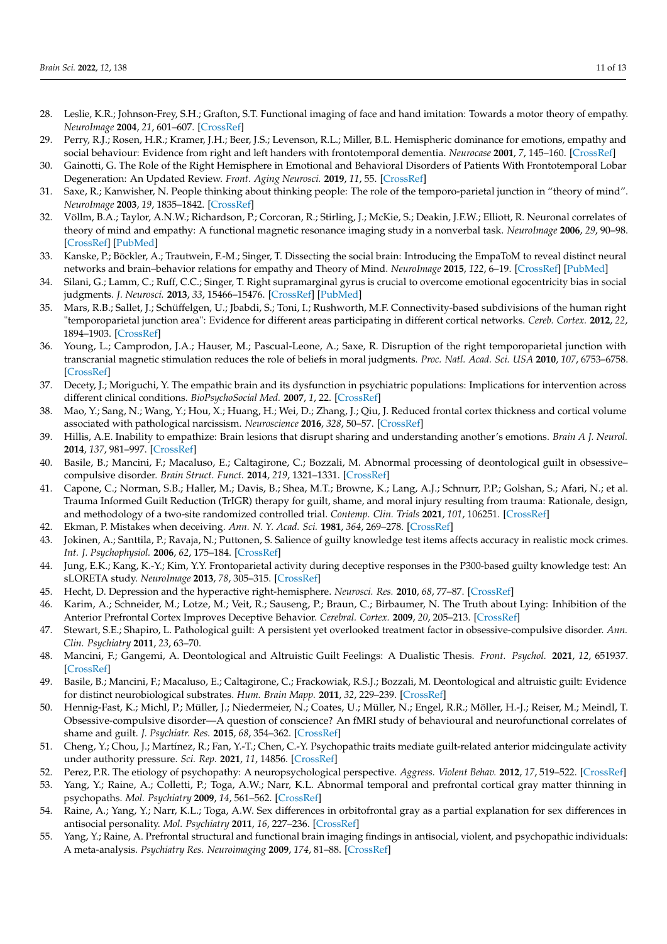- <span id="page-12-0"></span>28. Leslie, K.R.; Johnson-Frey, S.H.; Grafton, S.T. Functional imaging of face and hand imitation: Towards a motor theory of empathy. *NeuroImage* **2004**, *21*, 601–607. [\[CrossRef\]](http://doi.org/10.1016/j.neuroimage.2003.09.038)
- <span id="page-12-1"></span>29. Perry, R.J.; Rosen, H.R.; Kramer, J.H.; Beer, J.S.; Levenson, R.L.; Miller, B.L. Hemispheric dominance for emotions, empathy and social behaviour: Evidence from right and left handers with frontotemporal dementia. *Neurocase* **2001**, *7*, 145–160. [\[CrossRef\]](http://doi.org/10.1093/neucas/7.2.145)
- <span id="page-12-2"></span>30. Gainotti, G. The Role of the Right Hemisphere in Emotional and Behavioral Disorders of Patients With Frontotemporal Lobar Degeneration: An Updated Review. *Front. Aging Neurosci.* **2019**, *11*, 55. [\[CrossRef\]](http://doi.org/10.3389/fnagi.2019.00055)
- <span id="page-12-3"></span>31. Saxe, R.; Kanwisher, N. People thinking about thinking people: The role of the temporo-parietal junction in "theory of mind". *NeuroImage* **2003**, *19*, 1835–1842. [\[CrossRef\]](http://doi.org/10.1016/S1053-8119(03)00230-1)
- <span id="page-12-4"></span>32. Völlm, B.A.; Taylor, A.N.W.; Richardson, P.; Corcoran, R.; Stirling, J.; McKie, S.; Deakin, J.F.W.; Elliott, R. Neuronal correlates of theory of mind and empathy: A functional magnetic resonance imaging study in a nonverbal task. *NeuroImage* **2006**, *29*, 90–98. [\[CrossRef\]](http://doi.org/10.1016/j.neuroimage.2005.07.022) [\[PubMed\]](http://www.ncbi.nlm.nih.gov/pubmed/16122944)
- <span id="page-12-5"></span>33. Kanske, P.; Böckler, A.; Trautwein, F.-M.; Singer, T. Dissecting the social brain: Introducing the EmpaToM to reveal distinct neural networks and brain–behavior relations for empathy and Theory of Mind. *NeuroImage* **2015**, *122*, 6–19. [\[CrossRef\]](http://doi.org/10.1016/j.neuroimage.2015.07.082) [\[PubMed\]](http://www.ncbi.nlm.nih.gov/pubmed/26254589)
- <span id="page-12-6"></span>34. Silani, G.; Lamm, C.; Ruff, C.C.; Singer, T. Right supramarginal gyrus is crucial to overcome emotional egocentricity bias in social judgments. *J. Neurosci.* **2013**, *33*, 15466–15476. [\[CrossRef\]](http://doi.org/10.1523/JNEUROSCI.1488-13.2013) [\[PubMed\]](http://www.ncbi.nlm.nih.gov/pubmed/24068815)
- <span id="page-12-7"></span>35. Mars, R.B.; Sallet, J.; Schüffelgen, U.; Jbabdi, S.; Toni, I.; Rushworth, M.F. Connectivity-based subdivisions of the human right "temporoparietal junction area": Evidence for different areas participating in different cortical networks. *Cereb. Cortex.* **2012**, *22*, 1894–1903. [\[CrossRef\]](http://doi.org/10.1093/cercor/bhr268)
- <span id="page-12-8"></span>36. Young, L.; Camprodon, J.A.; Hauser, M.; Pascual-Leone, A.; Saxe, R. Disruption of the right temporoparietal junction with transcranial magnetic stimulation reduces the role of beliefs in moral judgments. *Proc. Natl. Acad. Sci. USA* **2010**, *107*, 6753–6758. [\[CrossRef\]](http://doi.org/10.1073/pnas.0914826107)
- <span id="page-12-9"></span>37. Decety, J.; Moriguchi, Y. The empathic brain and its dysfunction in psychiatric populations: Implications for intervention across different clinical conditions. *BioPsychoSocial Med.* **2007**, *1*, 22. [\[CrossRef\]](http://doi.org/10.1186/1751-0759-1-22)
- <span id="page-12-10"></span>38. Mao, Y.; Sang, N.; Wang, Y.; Hou, X.; Huang, H.; Wei, D.; Zhang, J.; Qiu, J. Reduced frontal cortex thickness and cortical volume associated with pathological narcissism. *Neuroscience* **2016**, *328*, 50–57. [\[CrossRef\]](http://doi.org/10.1016/j.neuroscience.2016.04.025)
- <span id="page-12-11"></span>39. Hillis, A.E. Inability to empathize: Brain lesions that disrupt sharing and understanding another's emotions. *Brain A J. Neurol.* **2014**, *137*, 981–997. [\[CrossRef\]](http://doi.org/10.1093/brain/awt317)
- <span id="page-12-12"></span>40. Basile, B.; Mancini, F.; Macaluso, E.; Caltagirone, C.; Bozzali, M. Abnormal processing of deontological guilt in obsessive– compulsive disorder. *Brain Struct. Funct.* **2014**, *219*, 1321–1331. [\[CrossRef\]](http://doi.org/10.1007/s00429-013-0570-2)
- <span id="page-12-13"></span>41. Capone, C.; Norman, S.B.; Haller, M.; Davis, B.; Shea, M.T.; Browne, K.; Lang, A.J.; Schnurr, P.P.; Golshan, S.; Afari, N.; et al. Trauma Informed Guilt Reduction (TrIGR) therapy for guilt, shame, and moral injury resulting from trauma: Rationale, design, and methodology of a two-site randomized controlled trial. *Contemp. Clin. Trials* **2021**, *101*, 106251. [\[CrossRef\]](http://doi.org/10.1016/j.cct.2020.106251)
- <span id="page-12-14"></span>42. Ekman, P. Mistakes when deceiving. *Ann. N. Y. Acad. Sci.* **1981**, *364*, 269–278. [\[CrossRef\]](http://doi.org/10.1111/j.1749-6632.1981.tb34479.x)
- <span id="page-12-15"></span>43. Jokinen, A.; Santtila, P.; Ravaja, N.; Puttonen, S. Salience of guilty knowledge test items affects accuracy in realistic mock crimes. *Int. J. Psychophysiol.* **2006**, *62*, 175–184. [\[CrossRef\]](http://doi.org/10.1016/j.ijpsycho.2006.04.004)
- <span id="page-12-16"></span>44. Jung, E.K.; Kang, K.-Y.; Kim, Y.Y. Frontoparietal activity during deceptive responses in the P300-based guilty knowledge test: An sLORETA study. *NeuroImage* **2013**, *78*, 305–315. [\[CrossRef\]](http://doi.org/10.1016/j.neuroimage.2013.04.027)
- <span id="page-12-17"></span>45. Hecht, D. Depression and the hyperactive right-hemisphere. *Neurosci. Res.* **2010**, *68*, 77–87. [\[CrossRef\]](http://doi.org/10.1016/j.neures.2010.06.013)
- <span id="page-12-18"></span>46. Karim, A.; Schneider, M.; Lotze, M.; Veit, R.; Sauseng, P.; Braun, C.; Birbaumer, N. The Truth about Lying: Inhibition of the Anterior Prefrontal Cortex Improves Deceptive Behavior. *Cerebral. Cortex.* **2009**, *20*, 205–213. [\[CrossRef\]](http://doi.org/10.1093/cercor/bhp090)
- <span id="page-12-19"></span>47. Stewart, S.E.; Shapiro, L. Pathological guilt: A persistent yet overlooked treatment factor in obsessive-compulsive disorder. *Ann. Clin. Psychiatry* **2011**, *23*, 63–70.
- <span id="page-12-20"></span>48. Mancini, F.; Gangemi, A. Deontological and Altruistic Guilt Feelings: A Dualistic Thesis. *Front. Psychol.* **2021**, *12*, 651937. [\[CrossRef\]](http://doi.org/10.3389/fpsyg.2021.651937)
- <span id="page-12-21"></span>49. Basile, B.; Mancini, F.; Macaluso, E.; Caltagirone, C.; Frackowiak, R.S.J.; Bozzali, M. Deontological and altruistic guilt: Evidence for distinct neurobiological substrates. *Hum. Brain Mapp.* **2011**, *32*, 229–239. [\[CrossRef\]](http://doi.org/10.1002/hbm.21009)
- <span id="page-12-22"></span>50. Hennig-Fast, K.; Michl, P.; Müller, J.; Niedermeier, N.; Coates, U.; Müller, N.; Engel, R.R.; Möller, H.-J.; Reiser, M.; Meindl, T. Obsessive-compulsive disorder—A question of conscience? An fMRI study of behavioural and neurofunctional correlates of shame and guilt. *J. Psychiatr. Res.* **2015**, *68*, 354–362. [\[CrossRef\]](http://doi.org/10.1016/j.jpsychires.2015.05.001)
- <span id="page-12-23"></span>51. Cheng, Y.; Chou, J.; Martínez, R.; Fan, Y.-T.; Chen, C.-Y. Psychopathic traits mediate guilt-related anterior midcingulate activity under authority pressure. *Sci. Rep.* **2021**, *11*, 14856. [\[CrossRef\]](http://doi.org/10.1038/s41598-021-94372-5)
- <span id="page-12-24"></span>52. Perez, P.R. The etiology of psychopathy: A neuropsychological perspective. *Aggress. Violent Behav.* **2012**, *17*, 519–522. [\[CrossRef\]](http://doi.org/10.1016/j.avb.2012.07.006)
- <span id="page-12-25"></span>53. Yang, Y.; Raine, A.; Colletti, P.; Toga, A.W.; Narr, K.L. Abnormal temporal and prefrontal cortical gray matter thinning in psychopaths. *Mol. Psychiatry* **2009**, *14*, 561–562. [\[CrossRef\]](http://doi.org/10.1038/mp.2009.12)
- <span id="page-12-26"></span>54. Raine, A.; Yang, Y.; Narr, K.L.; Toga, A.W. Sex differences in orbitofrontal gray as a partial explanation for sex differences in antisocial personality. *Mol. Psychiatry* **2011**, *16*, 227–236. [\[CrossRef\]](http://doi.org/10.1038/mp.2009.136)
- <span id="page-12-27"></span>55. Yang, Y.; Raine, A. Prefrontal structural and functional brain imaging findings in antisocial, violent, and psychopathic individuals: A meta-analysis. *Psychiatry Res. Neuroimaging* **2009**, *174*, 81–88. [\[CrossRef\]](http://doi.org/10.1016/j.pscychresns.2009.03.012)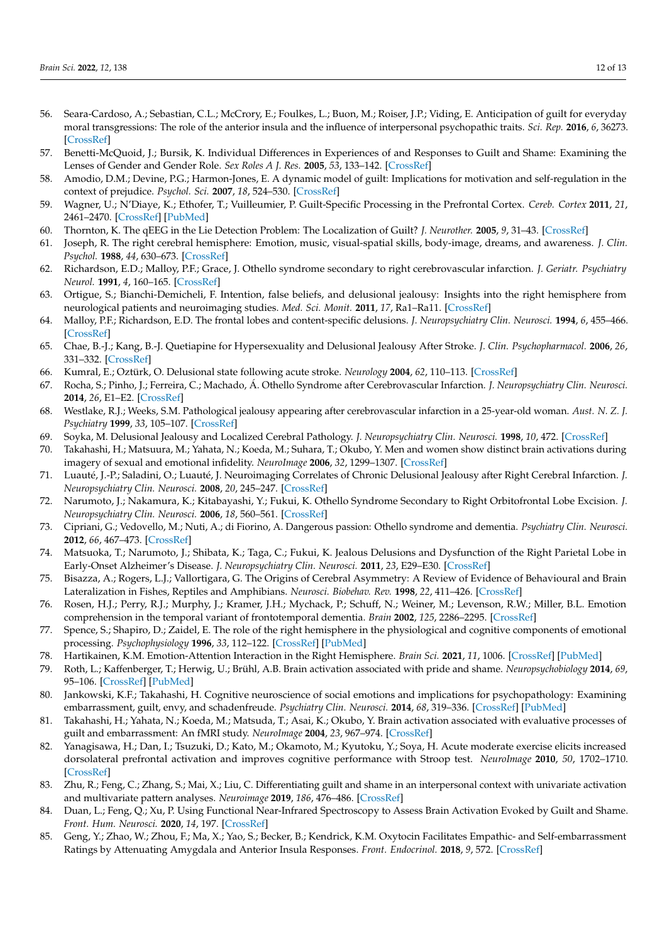- <span id="page-13-0"></span>56. Seara-Cardoso, A.; Sebastian, C.L.; McCrory, E.; Foulkes, L.; Buon, M.; Roiser, J.P.; Viding, E. Anticipation of guilt for everyday moral transgressions: The role of the anterior insula and the influence of interpersonal psychopathic traits. *Sci. Rep.* **2016**, *6*, 36273. [\[CrossRef\]](http://doi.org/10.1038/srep36273)
- <span id="page-13-1"></span>57. Benetti-McQuoid, J.; Bursik, K. Individual Differences in Experiences of and Responses to Guilt and Shame: Examining the Lenses of Gender and Gender Role. *Sex Roles A J. Res.* **2005**, *53*, 133–142. [\[CrossRef\]](http://doi.org/10.1007/s11199-005-4287-4)
- <span id="page-13-2"></span>58. Amodio, D.M.; Devine, P.G.; Harmon-Jones, E. A dynamic model of guilt: Implications for motivation and self-regulation in the context of prejudice. *Psychol. Sci.* **2007**, *18*, 524–530. [\[CrossRef\]](http://doi.org/10.1111/j.1467-9280.2007.01933.x)
- <span id="page-13-3"></span>59. Wagner, U.; N'Diaye, K.; Ethofer, T.; Vuilleumier, P. Guilt-Specific Processing in the Prefrontal Cortex. *Cereb. Cortex* **2011**, *21*, 2461–2470. [\[CrossRef\]](http://doi.org/10.1093/cercor/bhr016) [\[PubMed\]](http://www.ncbi.nlm.nih.gov/pubmed/21427167)
- <span id="page-13-4"></span>60. Thornton, K. The qEEG in the Lie Detection Problem: The Localization of Guilt? *J. Neurother.* **2005**, *9*, 31–43. [\[CrossRef\]](http://doi.org/10.1300/J184v09n03_03)
- <span id="page-13-5"></span>61. Joseph, R. The right cerebral hemisphere: Emotion, music, visual-spatial skills, body-image, dreams, and awareness. *J. Clin. Psychol.* **1988**, *44*, 630–673. [\[CrossRef\]](http://doi.org/10.1002/1097-4679(198809)44:5<630::AID-JCLP2270440502>3.0.CO;2-V)
- <span id="page-13-6"></span>62. Richardson, E.D.; Malloy, P.F.; Grace, J. Othello syndrome secondary to right cerebrovascular infarction. *J. Geriatr. Psychiatry Neurol.* **1991**, *4*, 160–165. [\[CrossRef\]](http://doi.org/10.1177/089198879100400307)
- <span id="page-13-7"></span>63. Ortigue, S.; Bianchi-Demicheli, F. Intention, false beliefs, and delusional jealousy: Insights into the right hemisphere from neurological patients and neuroimaging studies. *Med. Sci. Monit.* **2011**, *17*, Ra1–Ra11. [\[CrossRef\]](http://doi.org/10.12659/msm.881314)
- <span id="page-13-8"></span>64. Malloy, P.F.; Richardson, E.D. The frontal lobes and content-specific delusions. *J. Neuropsychiatry Clin. Neurosci.* **1994**, *6*, 455–466. [\[CrossRef\]](http://doi.org/10.1176/jnp.6.4.455)
- <span id="page-13-9"></span>65. Chae, B.-J.; Kang, B.-J. Quetiapine for Hypersexuality and Delusional Jealousy After Stroke. *J. Clin. Psychopharmacol.* **2006**, *26*, 331–332. [\[CrossRef\]](http://doi.org/10.1097/01.jcp.0000222518.01885.db)
- <span id="page-13-10"></span>66. Kumral, E.; Oztürk, O. Delusional state following acute stroke. *Neurology* **2004**, *62*, 110–113. [\[CrossRef\]](http://doi.org/10.1212/WNL.62.1.110)
- <span id="page-13-11"></span>67. Rocha, S.; Pinho, J.; Ferreira, C.; Machado, Á. Othello Syndrome after Cerebrovascular Infarction. *J. Neuropsychiatry Clin. Neurosci.* **2014**, *26*, E1–E2. [\[CrossRef\]](http://doi.org/10.1176/appi.neuropsych.12120408)
- <span id="page-13-12"></span>68. Westlake, R.J.; Weeks, S.M. Pathological jealousy appearing after cerebrovascular infarction in a 25-year-old woman. *Aust. N. Z. J. Psychiatry* **1999**, *33*, 105–107. [\[CrossRef\]](http://doi.org/10.1046/j.1440-1614.1999.00530.x)
- <span id="page-13-13"></span>69. Soyka, M. Delusional Jealousy and Localized Cerebral Pathology. *J. Neuropsychiatry Clin. Neurosci.* **1998**, *10*, 472. [\[CrossRef\]](http://doi.org/10.1176/jnp.10.4.472)
- <span id="page-13-14"></span>70. Takahashi, H.; Matsuura, M.; Yahata, N.; Koeda, M.; Suhara, T.; Okubo, Y. Men and women show distinct brain activations during imagery of sexual and emotional infidelity. *NeuroImage* **2006**, *32*, 1299–1307. [\[CrossRef\]](http://doi.org/10.1016/j.neuroimage.2006.05.049)
- <span id="page-13-15"></span>71. Luauté, J.-P.; Saladini, O.; Luauté, J. Neuroimaging Correlates of Chronic Delusional Jealousy after Right Cerebral Infarction. *J. Neuropsychiatry Clin. Neurosci.* **2008**, *20*, 245–247. [\[CrossRef\]](http://doi.org/10.1176/jnp.2008.20.2.245)
- <span id="page-13-16"></span>72. Narumoto, J.; Nakamura, K.; Kitabayashi, Y.; Fukui, K. Othello Syndrome Secondary to Right Orbitofrontal Lobe Excision. *J. Neuropsychiatry Clin. Neurosci.* **2006**, *18*, 560–561. [\[CrossRef\]](http://doi.org/10.1176/jnp.2006.18.4.560a)
- <span id="page-13-17"></span>73. Cipriani, G.; Vedovello, M.; Nuti, A.; di Fiorino, A. Dangerous passion: Othello syndrome and dementia. *Psychiatry Clin. Neurosci.* **2012**, *66*, 467–473. [\[CrossRef\]](http://doi.org/10.1111/j.1440-1819.2012.02386.x)
- <span id="page-13-18"></span>74. Matsuoka, T.; Narumoto, J.; Shibata, K.; Taga, C.; Fukui, K. Jealous Delusions and Dysfunction of the Right Parietal Lobe in Early-Onset Alzheimer's Disease. *J. Neuropsychiatry Clin. Neurosci.* **2011**, *23*, E29–E30. [\[CrossRef\]](http://doi.org/10.1176/jnp.23.4.jnpe29)
- <span id="page-13-19"></span>75. Bisazza, A.; Rogers, L.J.; Vallortigara, G. The Origins of Cerebral Asymmetry: A Review of Evidence of Behavioural and Brain Lateralization in Fishes, Reptiles and Amphibians. *Neurosci. Biobehav. Rev.* **1998**, *22*, 411–426. [\[CrossRef\]](http://doi.org/10.1016/S0149-7634(97)00050-X)
- 76. Rosen, H.J.; Perry, R.J.; Murphy, J.; Kramer, J.H.; Mychack, P.; Schuff, N.; Weiner, M.; Levenson, R.W.; Miller, B.L. Emotion comprehension in the temporal variant of frontotemporal dementia. *Brain* **2002**, *125*, 2286–2295. [\[CrossRef\]](http://doi.org/10.1093/brain/awf225)
- <span id="page-13-20"></span>77. Spence, S.; Shapiro, D.; Zaidel, E. The role of the right hemisphere in the physiological and cognitive components of emotional processing. *Psychophysiology* **1996**, *33*, 112–122. [\[CrossRef\]](http://doi.org/10.1111/j.1469-8986.1996.tb02115.x) [\[PubMed\]](http://www.ncbi.nlm.nih.gov/pubmed/8851239)
- <span id="page-13-21"></span>78. Hartikainen, K.M. Emotion-Attention Interaction in the Right Hemisphere. *Brain Sci.* **2021**, *11*, 1006. [\[CrossRef\]](http://doi.org/10.3390/brainsci11081006) [\[PubMed\]](http://www.ncbi.nlm.nih.gov/pubmed/34439624)
- <span id="page-13-22"></span>79. Roth, L.; Kaffenberger, T.; Herwig, U.; Brühl, A.B. Brain activation associated with pride and shame. *Neuropsychobiology* **2014**, *69*, 95–106. [\[CrossRef\]](http://doi.org/10.1159/000358090) [\[PubMed\]](http://www.ncbi.nlm.nih.gov/pubmed/24577108)
- <span id="page-13-23"></span>80. Jankowski, K.F.; Takahashi, H. Cognitive neuroscience of social emotions and implications for psychopathology: Examining embarrassment, guilt, envy, and schadenfreude. *Psychiatry Clin. Neurosci.* **2014**, *68*, 319–336. [\[CrossRef\]](http://doi.org/10.1111/pcn.12182) [\[PubMed\]](http://www.ncbi.nlm.nih.gov/pubmed/24649887)
- <span id="page-13-24"></span>81. Takahashi, H.; Yahata, N.; Koeda, M.; Matsuda, T.; Asai, K.; Okubo, Y. Brain activation associated with evaluative processes of guilt and embarrassment: An fMRI study. *NeuroImage* **2004**, *23*, 967–974. [\[CrossRef\]](http://doi.org/10.1016/j.neuroimage.2004.07.054)
- 82. Yanagisawa, H.; Dan, I.; Tsuzuki, D.; Kato, M.; Okamoto, M.; Kyutoku, Y.; Soya, H. Acute moderate exercise elicits increased dorsolateral prefrontal activation and improves cognitive performance with Stroop test. *NeuroImage* **2010**, *50*, 1702–1710. [\[CrossRef\]](http://doi.org/10.1016/j.neuroimage.2009.12.023)
- <span id="page-13-25"></span>83. Zhu, R.; Feng, C.; Zhang, S.; Mai, X.; Liu, C. Differentiating guilt and shame in an interpersonal context with univariate activation and multivariate pattern analyses. *Neuroimage* **2019**, *186*, 476–486. [\[CrossRef\]](http://doi.org/10.1016/j.neuroimage.2018.11.012)
- <span id="page-13-26"></span>84. Duan, L.; Feng, Q.; Xu, P. Using Functional Near-Infrared Spectroscopy to Assess Brain Activation Evoked by Guilt and Shame. *Front. Hum. Neurosci.* **2020**, *14*, 197. [\[CrossRef\]](http://doi.org/10.3389/fnhum.2020.00197)
- <span id="page-13-27"></span>85. Geng, Y.; Zhao, W.; Zhou, F.; Ma, X.; Yao, S.; Becker, B.; Kendrick, K.M. Oxytocin Facilitates Empathic- and Self-embarrassment Ratings by Attenuating Amygdala and Anterior Insula Responses. *Front. Endocrinol.* **2018**, *9*, 572. [\[CrossRef\]](http://doi.org/10.3389/fendo.2018.00572)